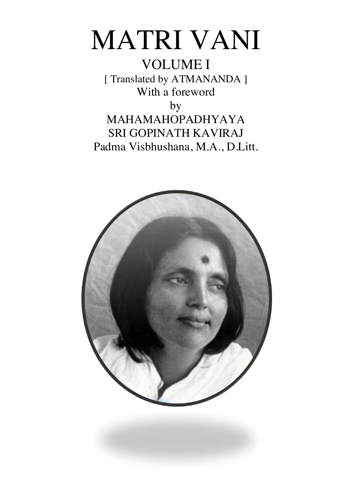# MATRI VANI

VOLUME I [ Translated by ATMANANDA ] With a foreword

by MAHAMAHOPADHYAYA SRI GOPINATH KAVIRAJ Padma Visbhushana, M.A., D.Litt.

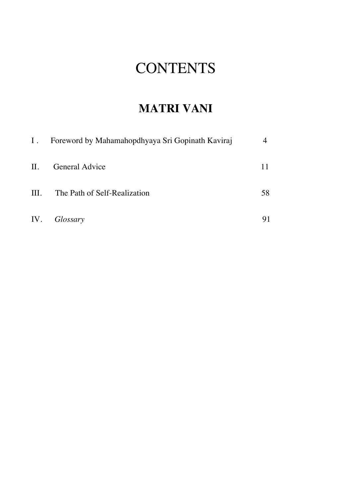# **CONTENTS**

# **MATRI VANI**

| $\mathbf{I}$ .  | Foreword by Mahamahopdhyaya Sri Gopinath Kaviraj |    |
|-----------------|--------------------------------------------------|----|
| $\mathbf{II}$ . | <b>General Advice</b>                            |    |
| III.            | The Path of Self-Realization                     | 58 |
| IV.             | <i>Glossary</i>                                  |    |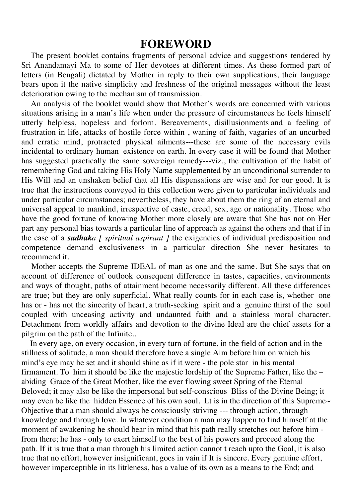# **FOREWORD**

The present booklet contains fragments of personal advice and suggestions tendered by Sri Anandamayi Ma to some of Her devotees at different times. As these formed part of letters (in Bengali) dictated by Mother in reply to their own supplications, their language bears upon it the native simplicity and freshness of the original messages without the least deterioration owing to the mechanism of transmission.

An analysis of the booklet would show that Mother's words are concerned with various situations arising in a man's life when under the pressure of circumstances he feels himself utterly helpless, hopeless and forlorn. Bereavements, disillusionments and a feeling of frustration in life, attacks of hostile force within , waning of faith, vagaries of an uncurbed and erratic mind, protracted physical ailments---these are some of the necessary evils incidental to ordinary human existence on earth. In every case it will be found that Mother has suggested practically the same sovereign remedy---viz., the cultivation of the habit of remembering God and taking His Holy Name supplemented by an unconditional surrender to His Will and an unshaken belief that all His dispensations are wise and for our good. It is true that the instructions conveyed in this collection were given to particular individuals and under particular circumstances; nevertheless, they have about them the ring of an eternal and universal appeal to mankind, irrespective of caste, creed, sex, age or nationality. Those who have the good fortune of knowing Mother more closely are aware that She has not on Her part any personal bias towards a particular line of approach as against the others and that if in the case of a *sadhaka [ spiritual aspirant ]* the exigencies of individual predisposition and competence demand exclusiveness in a particular direction She never hesitates to recommend it.

Mother accepts the Supreme IDEAL of man as one and the same. But She says that on account of difference of outlook consequent difference in tastes, capacities, environments and ways of thought, paths of attainment become necessarily different. All these differences are true; but they are only superficial. What really counts for in each case is, whether one has or - has not the sincerity of heart, a truth-seeking spirit and a genuine thirst of the soul coupled with unceasing activity and undaunted faith and a stainless moral character. Detachment from worldly affairs and devotion to the divine Ideal are the chief assets for a pilgrim on the path of the Infinite..

 In every age, on every occasion, in every turn of fortune, in the field of action and in the stillness of solitude, a man should therefore have a single Aim before him on which his mind's eye may be set and it should shine as if it were - the pole star in his mental firmament. To him it should be like the majestic lordship of the Supreme Father, like the – abiding Grace of the Great Mother, like the ever flowing sweet Spring of the Eternal Beloved; it may also be like the impersonal but self-conscious Bliss of the Divine Being; it may even be like the hidden Essence of his own soul. Lt is in the direction of this Supreme~ Objective that a man should always be consciously striving --- through action, through knowledge and through love. In whatever condition a man may happen to find himself at the moment of awakening he should bear in mind that his path really stretches out before him from there; he has - only to exert himself to the best of his powers and proceed along the path. If it is true that a man through his limited action cannot t reach upto the Goal, it is also true that no effort, however insignificant, goes in vain if It is sincere. Every genuine effort, however imperceptible in its littleness, has a value of its own as a means to the End; and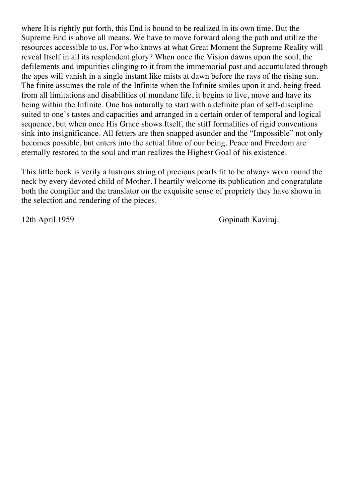where It is rightly put forth, this End is bound to be realized in its own time. But the Supreme End is above all means. We have to move forward along the path and utilize the resources accessible to us. For who knows at what Great Moment the Supreme Reality will reveal Itself in all its resplendent glory? When once the Vision dawns upon the soul, the defilements and impurities clinging to it from the immemorial past and accumulated through the apes will vanish in a single instant like mists at dawn before the rays of the rising sun. The finite assumes the role of the Infinite when the Infinite smiles upon it and, being freed from all limitations and disabilities of mundane life, it begins to live, move and have its being within the Infinite. One has naturally to start with a definite plan of self-discipline suited to one's tastes and capacities and arranged in a certain order of temporal and logical sequence, but when once His Grace shows Itself, the stiff formalities of rigid conventions sink into insignificance. All fetters are then snapped asunder and the "Impossible" not only becomes possible, but enters into the actual fibre of our being. Peace and Freedom are eternally restored to the soul and man realizes the Highest Goal of his existence.

This little book is verily a lustrous string of precious pearls fit to be always worn round the neck by every devoted child of Mother. I heartily welcome its publication and congratulate both the compiler and the translator on the exquisite sense of propriety they have shown in the selection and rendering of the pieces.

12th April 1959 Gopinath Kaviraj.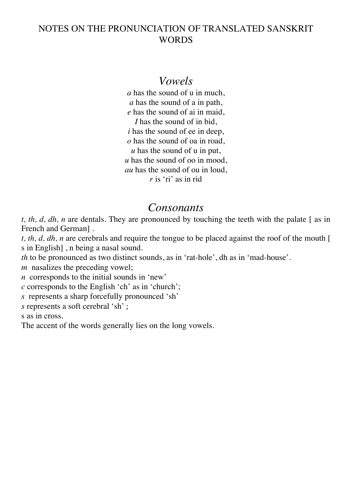## NOTES ON THE PRONUNCIATION OF TRANSLATED SANSKRIT **WORDS**

### *Vowels*

*a* has the sound of u in much, *a* has the sound of a in path, *e* has the sound of ai in maid, *I* has the sound of in bid *i* has the sound of ee in deep, *o* has the sound of oa in road, *u* has the sound of u in put, *u* has the sound of oo in mood, *au* has the sound of ou in loud, *r* is 'ri' as in rid

# *Consonants*

*t, th, d, dh, n* are dentals. They are pronounced by touching the teeth with the palate [ as in French and German] .

*t, th, d, dh, n* are cerebrals and require the tongue to be placed against the roof of the mouth [ s in English] , n being a nasal sound.

*th* to be pronounced as two distinct sounds, as in 'rat-hole', dh as in 'mad-house'.

*m* nasalizes the preceding vowel;

*n* corresponds to the initial sounds in 'new'

*c* corresponds to the English 'ch' as in 'church';

*s* represents a sharp forcefully pronounced 'sh'

*s* represents a soft cerebral 'sh' ;

s as in cross.

The accent of the words generally lies on the long vowels.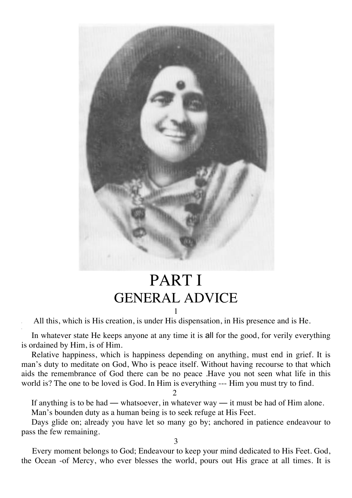

# PART I GENERAL ADVICE 1

- All this, which is His creation, is under His dispensation, in His presence and is He.

-

In whatever state He keeps anyone at any time it is all for the good, for verily everything is ordained by Him, is of Him.

Relative happiness, which is happiness depending on anything, must end in grief. It is man's duty to meditate on God, Who is peace itself. Without having recourse to that which aids the remembrance of God there can be no peace .Have you not seen what life in this world is? The one to be loved is God. In Him is everything --- Him you must try to find.

2

If anything is to be had — whatsoever, in whatever way — it must be had of Him alone. Man's bounden duty as a human being is to seek refuge at His Feet.

Days glide on; already you have let so many go by; anchored in patience endeavour to pass the few remaining.

3

Every moment belongs to God; Endeavour to keep your mind dedicated to His Feet. God, the Ocean -of Mercy, who ever blesses the world, pours out His grace at all times. It is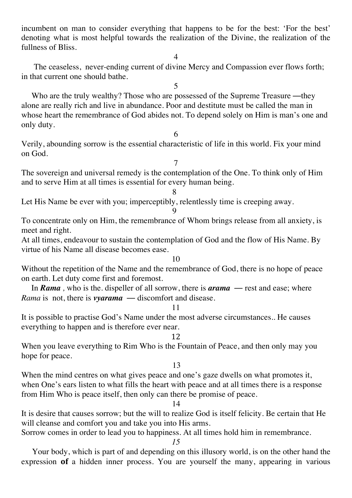incumbent on man to consider everything that happens to be for the best: 'For the best' denoting what is most helpful towards the realization of the Divine, the realization of the fullness of Bliss.

The ceaseless, never-ending current of divine Mercy and Compassion ever flows forth; in that current one should bathe.

5

Who are the truly wealthy? Those who are possessed of the Supreme Treasure —they alone are really rich and live in abundance. Poor and destitute must be called the man in whose heart the remembrance of God abides not. To depend solely on Him is man's one and only duty.

#### 6

7

Verily, abounding sorrow is the essential characteristic of life in this world. Fix your mind on God.

The sovereign and universal remedy is the contemplation of the One. To think only of Him and to serve Him at all times is essential for every human being.

#### 8

Let His Name be ever with you; imperceptibly, relentlessly time is creeping away.

9

To concentrate only on Him, the remembrance of Whom brings release from all anxiety, is meet and right.

At all times, endeavour to sustain the contemplation of God and the flow of His Name. By virtue of his Name all disease becomes ease.

10

Without the repetition of the Name and the remembrance of God, there is no hope of peace on earth. Let duty come first and foremost.

In *Rama ,* who is the. dispeller of all sorrow, there is *arama* — rest and ease; where *Rama* is not, there is *vyarama* — discomfort and disease.

11

It is possible to practise God's Name under the most adverse circumstances.. He causes everything to happen and is therefore ever near.

#### 12

When you leave everything to Rim Who is the Fountain of Peace, and then only may you hope for peace.

#### 13

When the mind centres on what gives peace and one's gaze dwells on what promotes it, when One's ears listen to what fills the heart with peace and at all times there is a response from Him Who is peace itself, then only can there be promise of peace.

#### 14

It is desire that causes sorrow; but the will to realize God is itself felicity. Be certain that He will cleanse and comfort you and take you into His arms.

Sorrow comes in order to lead you to happiness. At all times hold him in remembrance.

*15*

Your body, which is part of and depending on this illusory world, is on the other hand the expression **of** a hidden inner process. You are yourself the many, appearing in various

#### 4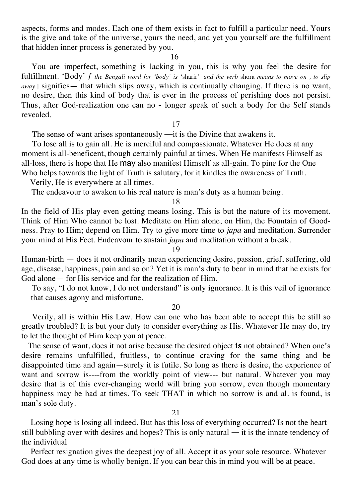aspects, forms and modes. Each one of them exists in fact to fulfill a particular need. Yours is the give and take of the universe, yours the need, and yet you yourself are the fulfillment that hidden inner process is generated by you.

16

You are imperfect, something is lacking in you, this is why you feel the desire for fulfillment. 'Body' *[ the Bengali word for 'body' is* 'sharir' *and the verb* shora *means to move on , to slip away*.] signifies— that which slips away, which is continually changing. If there is no want, no desire, then this kind of body that is ever in the process of perishing does not persist. Thus, after God-realization one can no - longer speak of such a body for the Self stands revealed.

17

The sense of want arises spontaneously —it is the Divine that awakens it.

To lose all is to gain all. He is merciful and compassionate. Whatever He does at any moment is all-beneficent, though certainly painful at times. When He manifests Himself as all-loss, there is hope that He may also manifest Himself as all-gain. To pine for the One Who helps towards the light of Truth is salutary, for it kindles the awareness of Truth.

Verily, He is everywhere at all times.

The endeavour to awaken to his real nature is man's duty as a human being.

18

In the field of His play even getting means losing. This is but the nature of its movement. Think of Him Who cannot be lost. Meditate on Him alone, on Him, the Fountain of Goodness. Pray to Him; depend on Him. Try to give more time to *japa* and meditation. Surrender your mind at His Feet. Endeavour to sustain *japa* and meditation without a break.

19

Human-birth — does it not ordinarily mean experiencing desire, passion, grief, suffering, old age, disease, happiness, pain and so on? Yet it is man's duty to bear in mind that he exists for God alone— for His service and for the realization of Him.

 To say, "I do not know, I do not understand" is only ignorance. It is this veil of ignorance that causes agony and misfortune.

#### 20

Verily, all is within His Law. How can one who has been able to accept this be still so greatly troubled? It is but your duty to consider everything as His. Whatever He may do, try to let the thought of Him keep you at peace.

The sense of want, does it not arise because the desired object **is** not obtained? When one's desire remains unfulfilled, fruitless, to continue craving for the same thing and be disappointed time and again—surely it is futile. So long as there is desire, the experience of want and sorrow is----from the worldly point of view--- but natural. Whatever you may desire that is of this ever-changing world will bring you sorrow, even though momentary happiness may be had at times. To seek THAT in which no sorrow is and al. is found, is man's sole duty.

21

Losing hope is losing all indeed. But has this loss of everything occurred? Is not the heart still bubbling over with desires and hopes? This is only natural — it is the innate tendency of the individual

Perfect resignation gives the deepest joy of all. Accept it as your sole resource. Whatever God does at any time is wholly benign. If you can bear this in mind you will be at peace.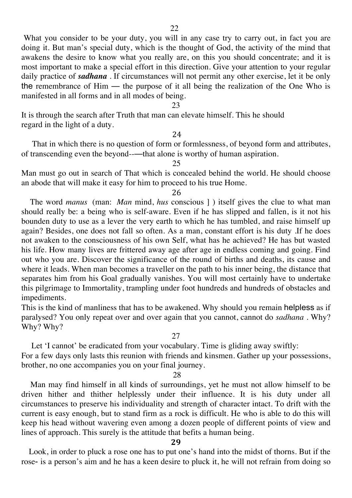What you consider to be your duty, you will in any case try to carry out, in fact you are doing it. But man's special duty, which is the thought of God, the activity of the mind that awakens the desire to know what you really are, on this you should concentrate; and it is most important to make a special effort in this direction. Give your attention to your regular daily practice of *sadhana .* If circumstances will not permit any other exercise, let it be only the remembrance of Him — the purpose of it all being the realization of the One Who is manifested in all forms and in all modes of being.

23

It is through the search after Truth that man can elevate himself. This he should regard in the light of a duty.

#### 24

That in which there is no question of form or formlessness, of beyond form and attributes, of transcending even the beyond--—that alone is worthy of human aspiration.

25

Man must go out in search of That which is concealed behind the world. He should choose an abode that will make it easy for him to proceed to his true Home.

#### $\frac{26}{4}$

The word *manus* (man: *Man* mind, *hus* conscious ] ) itself gives the clue to what man should really be: a being who is self-aware. Even if he has slipped and fallen, is it not his bounden duty to use as a lever the very earth to which he has tumbled, and raise himself up again? Besides, one does not fall so often. As a man, constant effort is his duty .If he does not awaken to the consciousness of his own Self, what has he achieved? He has but wasted his life. How many lives are frittered away age after age in endless coming and going. Find out who you are. Discover the significance of the round of births and deaths, its cause and where it leads. When man becomes a traveller on the path to his inner being, the distance that separates him from his Goal gradually vanishes. You will most certainly have to undertake this pilgrimage to Immortality, trampling under foot hundreds and hundreds of obstacles and impediments.

This is the kind of manliness that has to be awakened. Why should you remain helpless as if paralysed? You only repeat over and over again that you cannot, cannot do *sadhana .* Why? Why? Why?

#### $27$

Let 'I cannot' be eradicated from your vocabulary. Time is gliding away swiftly: For a few days only lasts this reunion with friends and kinsmen. Gather up your possessions, brother, no one accompanies you on your final journey.

28

 Man may find himself in all kinds of surroundings, yet he must not allow himself to be driven hither and thither helplessly under their influence. It is his duty under all circumstances to preserve his individuality and strength of character intact. To drift with the current is easy enough, but to stand firm as a rock is difficult. He who is able to do this will keep his head without wavering even among a dozen people of different points of view and lines of approach. This surely is the attitude that befits a human being.

#### **'(**

Look, in order to pluck a rose one has to put one's hand into the midst of thorns. But if the rose- is a person's aim and he has a keen desire to pluck it, he will not refrain from doing so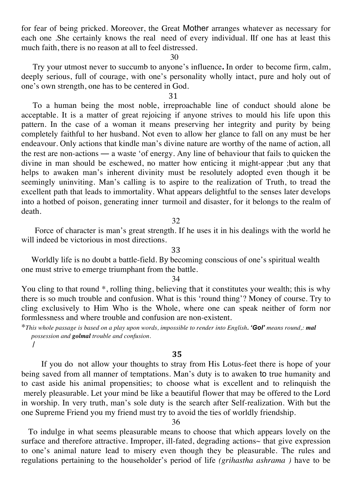for fear of being pricked. Moreover, the Great Mother arranges whatever as necessary for each one .She certainly knows the real need of every individual. **|**If one has at least this much faith, there is no reason at all to feel distressed.

30

Try your utmost never to succumb to anyone's influence**.** In order to become firm, calm, deeply serious, full of courage, with one's personality wholly intact, pure and holy out of one's own strength, one has to be centered in God.

#### **&&&&&&&&&&&&&&&&&&&&&&&&&&&&&&&&&&&&&&&&&&& &&&&&&&**,(

To a human being the most noble, irreproachable line of conduct should alone be acceptable. It is a matter of great rejoicing if anyone strives to mould his life upon this pattern. In the case of a woman it means preserving her integrity and purity by being completely faithful to her husband. Not even to allow her glance to fall on any must be her endeavour. Only actions that kindle man's divine nature are worthy of the name of action, all the rest are non-actions — a waste 'of energy. Any line of behaviour that fails to quicken the divine in man should be eschewed, no matter how enticing it might-appear ;but any that helps to awaken man's inherent divinity must be resolutely adopted even though it be seemingly uninviting. Man's calling is to aspire to the realization of Truth, to tread the excellent path that leads to immortality. What appears delightful to the senses later develops into a hotbed of poison, generating inner turmoil and disaster, for it belongs to the realm of death.

32

Force of character is man's great strength. If he uses it in his dealings with the world he will indeed be victorious in most directions.

33

Worldly life is no doubt a battle-field. By becoming conscious of one's spiritual wealth one must strive to emerge triumphant from the battle.

34

You cling to that round  $*$ , rolling thing, believing that it constitutes your wealth; this is why there is so much trouble and confusion. What is this 'round thing'? Money of course. Try to cling exclusively to Him Who is the Whole, where one can speak neither of form nor formlessness and where trouble and confusion are non-existent.

\**This whole passage is based on a play upon words, impossible to render into English. 'Gol' means round,: mal possession and golmal trouble and confusion.* /

35

 If you do not allow your thoughts to stray from His Lotus-feet there is hope of your being saved from all manner of temptations. Man's duty is to awaken to true humanity and to cast aside his animal propensities; to choose what is excellent and to relinquish the merely pleasurable. Let your mind be like a beautiful flower that may be offered to the Lord in worship. In very truth, man's sole duty is the search after Self-realization. With but the one Supreme Friend you my friend must try to avoid the ties of worldly friendship.

36

 To indulge in what seems pleasurable means to choose that which appears lovely on the surface and therefore attractive. Improper, ill-fated, degrading actions~ that give expression to one's animal nature lead to misery even though they be pleasurable. The rules and regulations pertaining to the householder's period of life *(grihastha ashrama )* have to be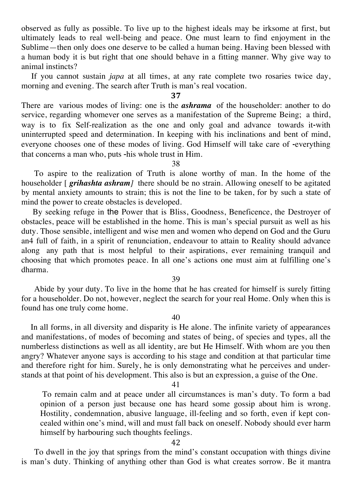observed as fully as possible. To live up to the highest ideals may be irksome at first, but ultimately leads to real well-being and peace. One must learn to find enjoyment in the Sublime—then only does one deserve to be called a human being. Having been blessed with a human body it is but right that one should behave in a fitting manner. Why give way to animal instincts?

 If you cannot sustain *japa* at all times, at any rate complete two rosaries twice day, morning and evening. The search after Truth is man's real vocation.

**)+**

There are various modes of living: one is the *ashrama* of the householder: another to do service, regarding whomever one serves as a manifestation of the Supreme Being; a third, way is to fix Self-realization as the one and only goal and advance towards it**,**with uninterrupted speed and determination. In keeping with his inclinations and bent of mind, everyone chooses one of these modes of living. God Himself will take care of -everything that concerns a man who, puts -his whole trust in Him.

38

To aspire to the realization of Truth is alone worthy of man. In the home of the householder [ *grihashta ashram]* there should be no strain. Allowing oneself to be agitated by mental anxiety amounts to strain; this is not the line to be taken, for by such a state of mind the power to create obstacles is developed.

By seeking refuge in the Power that is Bliss, Goodness, Beneficence, the Destroyer of obstacles, peace will be established in the home. This is man's special pursuit as well as his duty. Those sensible, intelligent and wise men and women who depend on God and the Guru an4 full of faith, in a spirit of renunciation, endeavour to attain to Reality should advance along any path that is most helpful to their aspirations, ever remaining tranquil and choosing that which promotes peace. In all one's actions one must aim at fulfilling one's dharma.

39

Abide by your duty. To live in the home that he has created for himself is surely fitting for a householder. Do not, however, neglect the search for your real Home. Only when this is found has one truly come home.

40

In all forms, in all diversity and disparity is He alone. The infinite variety of appearances and manifestations, of modes of becoming and states of being, of species and types, all the numberless distinctions as well as all identity, are but He Himself. With whom are you then angry? Whatever anyone says is according to his stage and condition at that particular time and therefore right for him. Surely, he is only demonstrating what he perceives and understands at that point of his development. This also is but an expression, a guise of the One.

41

To remain calm and at peace under all circumstances is man's duty. To form a bad opinion of a person just because one has heard some gossip about him is wrong. Hostility, condemnation, abusive language, ill-feeling and so forth, even if kept concealed within one's mind, will and must fall back on oneself. Nobody should ever harm himself by harbouring such thoughts feelings.

42

To dwell in the joy that springs from the mind's constant occupation with things divine is man's duty. Thinking of anything other than God is what creates sorrow. Be it mantra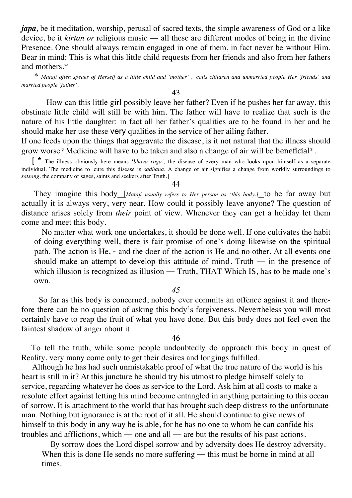*japa,* be it meditation, worship, perusal of sacred texts, the simple awareness of God or a like device, be it *kirtan or* religious music — all these are different modes of being in the divine Presence. One should always remain engaged in one of them, in fact never be without Him. Bear in mind: This is what this little child requests from her friends and also from her fathers and mothers.\*

\* *Mataji often speaks of Herself as a little child and 'mother' , calls children and unmarried people Her 'friends' and married people 'father'.*

43

How can this little girl possibly leave her father? Even if he pushes her far away, this obstinate little child will still be with him. The father will have to realize that such is the nature of his little daughter: in fact all her father's qualities are to be found in her and he should make her use these very qualities in the service of her ailing father.

If one feeds upon the things that aggravate the disease, is it not natural that the illness should grow worse? Medicine will have to be taken and also a change of air will be beneficial\*.

[ **\*** The illness obviously here means '*bhava roga',* the disease of every man who looks upon himself as a separate individual. The medicine to cure this disease is *sadhana.* A change of air signifies a change from worldly surroundings to *satsang,* the company of sages, saints and seekers after Truth.]

#### 44

They imagine this body [*Mataji usually refers to Her person as 'this body.]* to be far away but actually it is always very, very near. How could it possibly leave anyone? The question of distance arises solely from *their* point of view. Whenever they can get a holiday let them come and meet this body.

No matter what work one undertakes, it should be done well. If one cultivates the habit of doing everything well, there is fair promise of one's doing likewise on the spiritual path. The action is He, - and the doer of the action is He and no other. At all events one should make an attempt to develop this attitude of mind. Truth  $-$  in the presence of which illusion is recognized as illusion — Truth, THAT Which IS, has to be made one's own.

#### *45*

So far as this body is concerned, nobody ever commits an offence against it and therefore there can be no question of asking this body's forgiveness. Nevertheless you will most certainly have to reap the fruit of what you have done. But this body does not feel even the faintest shadow of anger about it.

#### 46

To tell the truth, while some people undoubtedly do approach this body in quest of Reality, very many come only to get their desires and longings fulfilled.

Although he has had such unmistakable proof of what the true nature of the world is his heart is still in it? At this juncture he should try his utmost to pledge himself solely to service, regarding whatever he does as service to the Lord. Ask him at all costs to make a resolute effort against letting his mind become entangled in anything pertaining to this ocean of sorrow. It is attachment to the world that has brought such deep distress to the unfortunate man. Nothing but ignorance is at the root of it all. He should continue to give news of himself to this body in any way he is able, for he has no one to whom he can confide his troubles and afflictions, which — one and all — are but the results of his past actions.

By sorrow does the Lord dispel sorrow and by adversity does He destroy adversity. When this is done He sends no more suffering — this must be borne in mind at all times.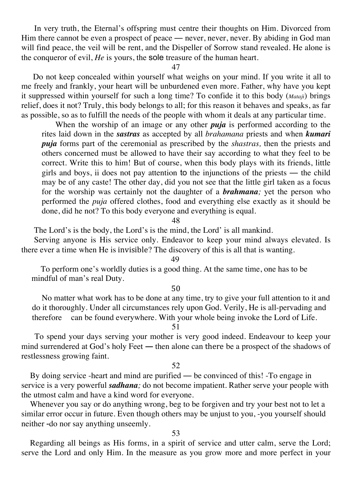In very truth, the Eternal's offspring must centre their thoughts on Him. Divorced from Him there cannot be even a prospect of peace — never, never, never. By abiding in God man will find peace, the veil will be rent, and the Dispeller of Sorrow stand revealed. He alone is the conqueror of evil, *He* is yours, the sole treasure of the human heart.

47

Do not keep concealed within yourself what weighs on your mind. If you write it all to me freely and frankly, your heart will be unburdened even more. Father, why have you kept it suppressed within yourself for such a long time? To confide it to this body (*Mataji*) brings relief, does it not? Truly, this body belongs to all; for this reason it behaves and speaks, as far as possible, so as to fulfill the needs of the people with whom it deals at any particular time.

 When the worship of an image or any other *puja* is performed according to the rites laid down in the *sastras* as accepted by all *brahamana* priests and when *kumari puja* forms part of the ceremonial as prescribed by the *shastras,* then the priests and others concerned must be allowed to have their say according to what they feel to be correct. Write this to him! But of course, when this body plays with its friends, little girls and boys, ii does not pay attention to the injunctions of the priests — the child may be of any caste! The other day, did you not see that the little girl taken as a focus for the worship was certainly not the daughter of a *brahmana;* yet the person who performed the *puja* offered clothes, food and everything else exactly as it should be done, did he not? To this body everyone and everything is equal.

48

The Lord's is the body, the Lord's is the mind, the Lord' is all mankind.

Serving anyone is His service only. Endeavor to keep your mind always elevated. Is there ever a time when He is invisible? The discovery of this is all that is wanting.

49

To perform one's worldly duties is a good thing. At the same time, one has to be mindful of man's real Duty.

#### 50

No matter what work has to be done at any time, try to give your full attention to it and do it thoroughly. Under all circumstances rely upon God. Verily, He is all-pervading and therefore can be found everywhere. With your whole being invoke the Lord of Life.

#### 51

 To spend your days serving your mother is very good indeed. Endeavour to keep your mind surrendered at God's holy Feet — then alone can there be a prospect of the shadows of restlessness growing faint.

#### 52

By doing service -heart and mind are purified — be convinced of this! -To engage in service is a very powerful *sadhana;* do not become impatient. Rather serve your people with the utmost calm and have a kind word for everyone.

Whenever you say or do anything wrong, beg to be forgiven and try your best not to let a similar error occur in future. Even though others may be unjust to you, -you yourself should neither -do nor say anything unseemly.

53

Regarding all beings as His forms, in a spirit of service and utter calm, serve the Lord; serve the Lord and only Him. In the measure as you grow more and more perfect in your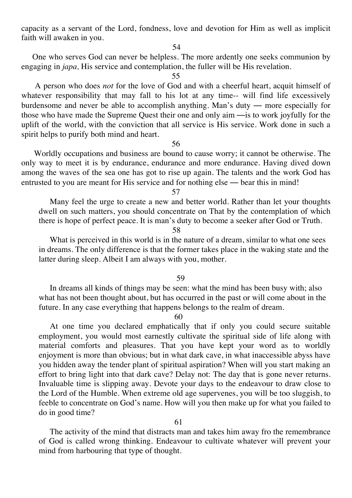capacity as a servant of the Lord, fondness, love and devotion for Him as well as implicit faith will awaken in you.

#### 54

One who serves God can never be helpless. The more ardently one seeks communion by engaging in *japa,* His service and contemplation, the fuller will be His revelation.

55

A person who does *not* for the love of God and with a cheerful heart, acquit himself of whatever responsibility that may fall to his lot at any time-- will find life excessively burdensome and never be able to accomplish anything. Man's duty — more especially for those who have made the Supreme Quest their one and only aim —is to work joyfully for the uplift of the world, with the conviction that all service is His service. Work done in such a spirit helps to purify both mind and heart.

#### 56

Worldly occupations and business are bound to cause worry; it cannot be otherwise. The only way to meet it is by endurance, endurance and more endurance. Having dived down among the waves of the sea one has got to rise up again. The talents and the work God has entrusted to you are meant for His service and for nothing else — bear this in mind!

#### 57

Many feel the urge to create a new and better world. Rather than let your thoughts dwell on such matters, you should concentrate on That by the contemplation of which there is hope of perfect peace. It is man's duty to become a seeker after God or Truth.

#### 58

What is perceived in this world is in the nature of a dream, similar to what one sees in dreams. The only difference is that the former takes place in the waking state and the latter during sleep. Albeit I am always with you, mother.

#### 59

In dreams all kinds of things may be seen: what the mind has been busy with; also what has not been thought about, but has occurred in the past or will come about in the future. In any case everything that happens belongs to the realm of dream.

60

At one time you declared emphatically that if only you could secure suitable employment, you would most earnestly cultivate the spiritual side of life along with material comforts and pleasures. That you have kept your word as to worldly enjoyment is more than obvious; but in what dark cave, in what inaccessible abyss have you hidden away the tender plant of spiritual aspiration? When will you start making an effort to bring light into that dark cave? Delay not: The day that is gone never returns. Invaluable time is slipping away. Devote your days to the endeavour to draw close to the Lord of the Humble. When extreme old age supervenes, you will be too sluggish, to feeble to concentrate on God's name. How will you then make up for what you failed to do in good time?

#### 61

The activity of the mind that distracts man and takes him away fro the remembrance of God is called wrong thinking. Endeavour to cultivate whatever will prevent your mind from harbouring that type of thought.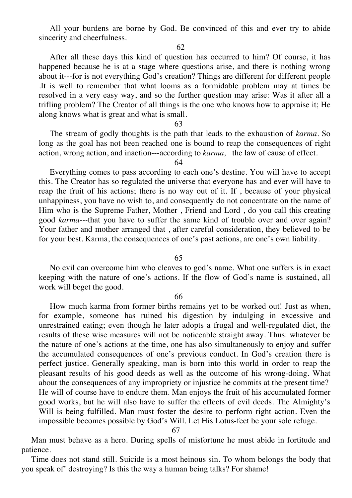All your burdens are borne by God. Be convinced of this and ever try to abide sincerity and cheerfulness.

#### 62

After all these days this kind of question has occurred to him? Of course, it has happened because he is at a stage where questions arise, and there is nothing wrong about it---for is not everything God's creation? Things are different for different people .It is well to remember that what looms as a formidable problem may at times be resolved in a very easy way, and so the further question may arise: Was it after all a trifling problem? The Creator of all things is the one who knows how to appraise it; He along knows what is great and what is small.

#### 63

The stream of godly thoughts is the path that leads to the exhaustion of *karma*. So long as the goal has not been reached one is bound to reap the consequences of right action, wrong action, and inaction---according to *karma,* the law of cause of effect.

#### 64

Everything comes to pass according to each one's destine. You will have to accept this. The Creator has so regulated the universe that everyone has and ever will have to reap the fruit of his actions; there is no way out of it. If , because of your physical unhappiness, you have no wish to, and consequently do not concentrate on the name of Him who is the Supreme Father, Mother , Friend and Lord , do you call this creating good *karma---*that you have to suffer the same kind of trouble over and over again? Your father and mother arranged that , after careful consideration, they believed to be for your best. Karma, the consequences of one's past actions, are one's own liability.

#### 65

No evil can overcome him who cleaves to god's name. What one suffers is in exact keeping with the nature of one's actions. If the flow of God's name is sustained, all work will beget the good.

#### 66

How much karma from former births remains yet to be worked out! Just as when, for example, someone has ruined his digestion by indulging in excessive and unrestrained eating; even though he later adopts a frugal and well-regulated diet, the results of these wise measures will not be noticeable straight away. Thus: whatever be the nature of one's actions at the time, one has also simultaneously to enjoy and suffer the accumulated consequences of one's previous conduct. In God's creation there is perfect justice. Generally speaking, man is born into this world in order to reap the pleasant results of his good deeds as well as the outcome of his wrong-doing. What about the consequences of any impropriety or injustice he commits at the present time? He will of course have to endure them. Man enjoys the fruit of his accumulated former good works, but he will also have to suffer the effects of evil deeds. The Almighty's Will is being fulfilled. Man must foster the desire to perform right action. Even the impossible becomes possible by God's Will. Let His Lotus-feet be your sole refuge.

67

Man must behave as a hero. During spells of misfortune he must abide in fortitude and patience.

Time does not stand still. Suicide is a most heinous sin. To whom belongs the body that you speak of' destroying? Is this the way a human being talks? For shame!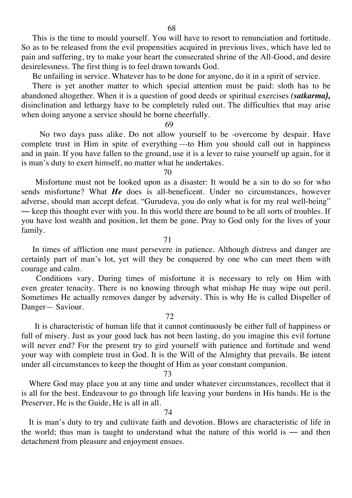This is the time to mould yourself. You will have to resort to renunciation and fortitude. So as to be released from the evil propensities acquired in previous lives, which have led to pain and suffering, try to make your heart the consecrated shrine of the All-Good, and desire desirelessness. The first thing is to feel drawn towards God.

Be unfailing in service. Whatever has to be done for anyone, do it in a spirit of service.

There is yet another matter to which special attention must be paid: sloth has to be abandoned altogether. When it is a question of good deeds or spiritual exercises *(satkarma),*  disinclination and lethargy have to be completely ruled out. The difficulties that may arise when doing anyone a service should be borne cheerfully.

69

 No two days pass alike. Do not allow yourself to be -overcome by despair. Have complete trust in Him in spite of everything ---to Him you should call out in happiness and in pain. If you have fallen to the ground, use it is a lever to raise yourself up again, for it is man's duty to exert himself, no matter what he undertakes.

70

 Misfortune must not be looked upon as a disaster: It would be a sin to do so for who sends misfortune? What *He* does is all-beneficent. Under no circumstances, however adverse, should man accept defeat. "Gurudeva, you do only what is for my real well-being" — keep this thought ever with you. In this world there are bound to be all sorts of troubles. If you have lost wealth and position, let them be gone. Pray to God only for the lives of your family.

71

In times of affliction one must persevere in patience. Although distress and danger are certainly part of man's lot, yet will they be conquered by one who can meet them with courage and calm.

 Conditions vary. During times of misfortune it is necessary to rely on Him with even greater tenacity. There is no knowing through what mishap He may wipe out peril. Sometimes He actually removes danger by adversity. This is why He is called Dispeller of Danger— Saviour.

72

 It is characteristic of human life that it cannot continuously be either full of happiness or full of misery. Just as your good luck has not been lasting, do you imagine this evil fortune will never end? For the present try to gird yourself with patience and fortitude and wend your way with complete trust in God. It is the Will of the Almighty that prevails. Be intent under all circumstances to keep the thought of Him as your constant companion.

#### 73

Where God may place you at any time and under whatever circumstances, recollect that it is all for the best. Endeavour to go through life leaving your burdens in His hands. He is the Preserver, He is the Guide, He is all in all.

74

It is man's duty to try and cultivate faith and devotion. Blows are characteristic of life in the world; thus man is taught to understand what the nature of this world is — and then detachment from pleasure and enjoyment ensues.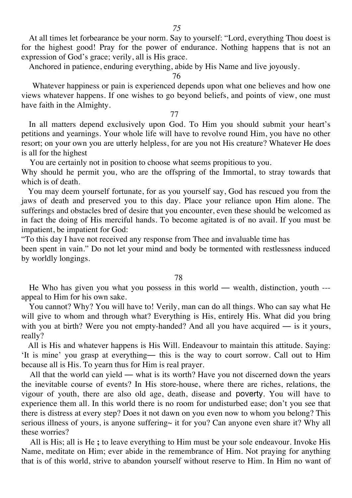At all times let forbearance be your norm. Say to yourself: "Lord, everything Thou doest is for the highest good! Pray for the power of endurance. Nothing happens that is not an expression of God's grace; verily, all is His grace.

Anchored in patience, enduring everything, abide by His Name and live joyously.

76

Whatever happiness or pain is experienced depends upon what one believes and how one views whatever happens. If one wishes to go beyond beliefs, and points of view, one must have faith in the Almighty.

ли в село в село во 177 година во 177<br>177

In all matters depend exclusively upon God. To Him you should submit your heart's petitions and yearnings. Your whole life will have to revolve round Him, you have no other resort; on your own you are utterly helpless, for are you not His creature? Whatever He does is all for the highest

You are certainly not in position to choose what seems propitious to you.

Why should he permit you, who are the offspring of the Immortal, to stray towards that which is of death.

You may deem yourself fortunate, for as you yourself say, God has rescued you from the jaws of death and preserved you to this day. Place your reliance upon Him alone. The sufferings and obstacles bred of desire that you encounter, even these should be welcomed as in fact the doing of His merciful hands. To become agitated is of no avail. If you must be impatient, be impatient for God:

"To this day I have not received any response from Thee and invaluable time has

been spent in vain." Do not let your mind and body be tormented with restlessness induced by worldly longings.

78

He Who has given you what you possess in this world — wealth, distinction, youth -- appeal to Him for his own sake.

You cannot? Why? You will have to! Verily, man can do all things. Who can say what He will give to whom and through what? Everything is His, entirely His. What did you bring with you at birth? Were you not empty-handed? And all you have acquired — is it yours, really?

All is His and whatever happens is His Will. Endeavour to maintain this attitude. Saying: 'It is mine' you grasp at everything— this is the way to court sorrow. Call out to Him because all is His. To yearn thus for Him is real prayer.

All that the world can yield — what is its worth? Have you not discerned down the years the inevitable course of events? In His store-house, where there are riches, relations, the vigour of youth, there are also old age, death, disease and poverty. You will have to experience them all. In this world there is no room for undisturbed ease; don't you see that there is distress at every step? Does it not dawn on you even now to whom you belong? This serious illness of yours, is anyone suffering~ it for you? Can anyone even share it? Why all these worries?

All is His; all is He **;** to leave everything to Him must be your sole endeavour. Invoke His Name, meditate on Him; ever abide in the remembrance of Him. Not praying for anything that is of this world, strive to abandon yourself without reserve to Him. In Him no want of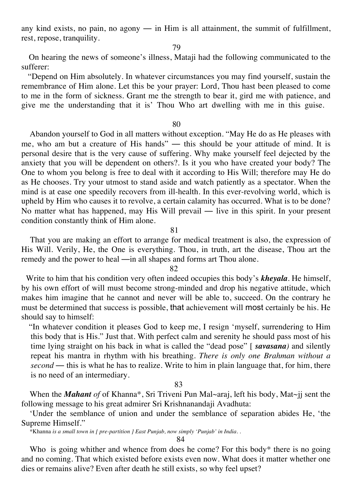any kind exists, no pain, no agony — in Him is all attainment, the summit of fulfillment, rest, repose, tranquility.

79

On hearing the news of someone's illness, Mataji had the following communicated to the sufferer:

"Depend on Him absolutely. In whatever circumstances you may find yourself, sustain the remembrance of Him alone. Let this be your prayer: Lord, Thou hast been pleased to come to me in the form of sickness. Grant me the strength to bear it, gird me with patience, and give me the understanding that it is' Thou Who art dwelling with me in this guise.

#### 80

Abandon yourself to God in all matters without exception. "May He do as He pleases with me, who am but a creature of His hands" — this should be your attitude of mind. It is personal desire that is the very cause of suffering. Why make yourself feel dejected by the anxiety that you will be dependent on others?. Is it you who have created your body? The One to whom you belong is free to deal with it according to His Will; therefore may He do as He chooses. Try your utmost to stand aside and watch patiently as a spectator. When the mind is at ease one speedily recovers from ill-health. In this ever-revolving world, which is upheld by Him who causes it to revolve, a certain calamity has occurred. What is to be done? No matter what has happened, may His Will prevail — live in this spirit. In your present condition constantly think of Him alone.

81

That you are making an effort to arrange for medical treatment is also, the expression of His Will. Verily, He, the One is everything. Thou, in truth, art the disease, Thou art the remedy and the power to heal —in all shapes and forms art Thou alone.

82

Write to him that his condition very often indeed occupies this body's *kheyala.* He himself, by his own effort of will must become strong-minded and drop his negative attitude, which makes him imagine that he cannot and never will be able to, succeed. On the contrary he must be determined that success is possible, that achievement will most certainly be his. He should say to himself:

 "In whatever condition it pleases God to keep me, I resign 'myself, surrendering to Him this body that is His." Just that. With perfect calm and serenity he should pass most of his time lying straight on his back in what is called the "dead pose" [ *savasana)* and silently repeat his mantra in rhythm with his breathing. *There is only one Brahman without a second* — this is what he has to realize. Write to him in plain language that, for him, there is no need of an intermediary.

83

When the *Mahant of* of Khanna<sup>\*</sup>, Sri Triveni Pun Mal~araj, left his body, Mat~jj sent the following message to his great admirer Sri Krishnanandaji Avadhuta:

'Under the semblance of union and under the semblance of separation abides He, 'the Supreme Himself."

\*Khanna *is a small town in [ pre-partition ] East Punjab, now simply 'Punjab' in India. .* 

<u>84 and 2012</u>

Who is going whither and whence from does he come? For this body\* there is no going and no coming. That which existed before exists even now. What does it matter whether one dies or remains alive? Even after death he still exists, so why feel upset?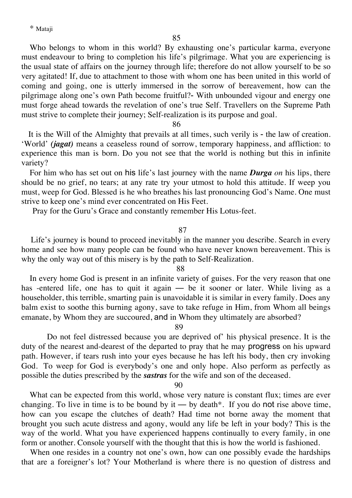\* Mataji

Who belongs to whom in this world? By exhausting one's particular karma, everyone must endeavour to bring to completion his life's pilgrimage. What you are experiencing is the usual state of affairs on the journey through life; therefore do not allow yourself to be so very agitated! If, due to attachment to those with whom one has been united in this world of coming and going, one is utterly immersed in the sorrow of bereavement, how can the pilgrimage along one's own Path become fruitful?- With unbounded vigour and energy one must forge ahead towards the revelation of one's true Self. Travellers on the Supreme Path must strive to complete their journey; Self-realization is its purpose and goal.

**86** 

It is the Will of the Almighty that prevails at all times, such verily is - the law of creation. 'World' *(jagat)* means a ceaseless round of sorrow, temporary happiness, and affliction: to experience this man is born. Do you not see that the world is nothing but this in infinite variety?

For him who has set out on his life's last journey with the name *Durga on* his lips, there should be no grief, no tears; at any rate try your utmost to hold this attitude. If weep you must, weep for God. Blessed is he who breathes his last pronouncing God's Name. One must strive to keep one's mind ever concentrated on His Feet.

Pray for the Guru's Grace and constantly remember His Lotus-feet.

#### 87

Life's journey is bound to proceed inevitably in the manner you describe. Search in every home and see how many people can be found who have never known bereavement. This is why the only way out of this misery is by the path to Self-Realization.

#### <u>88</u>

In every home God is present in an infinite variety of guises. For the very reason that one has -entered life, one has to quit it again — be it sooner or later. While living as a householder, this terrible, smarting pain is unavoidable it is similar in every family. Does any balm exist to soothe this burning agony, save to take refuge in Him, from Whom all beings emanate, by Whom they are succoured, and in Whom they ultimately are absorbed?

89

Do not feel distressed because you are deprived of' his physical presence. It is the duty of the nearest and-dearest of the departed to pray that he may progress on his upward path. However, if tears rush into your eyes because he has left his body, then cry invoking God. To weep for God is everybody's one and only hope. Also perform as perfectly as possible the duties prescribed by the *sastras* for the wife and son of the deceased.

90

What can be expected from this world, whose very nature is constant flux; times are ever changing. To live in time is to be bound by it — by death\*. If you do not rise above time, how can you escape the clutches of death? Had time not borne away the moment that brought you such acute distress and agony, would any life be left in your body? This is the way of the world. What you have experienced happens continually to every family, in one form or another. Console yourself with the thought that this is how the world is fashioned.

When one resides in a country not one's own, how can one possibly evade the hardships that are a foreigner's lot? Your Motherland is where there is no question of distress and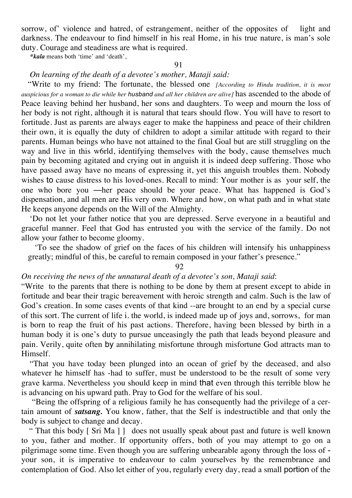sorrow, of' violence and hatred, of estrangement, neither of the opposites of **light and** darkness. The endeavour to find himself in his real Home, in his true nature, is man's sole duty. Courage and steadiness are what is required.

*\*kala* means both 'time' and 'death',

#### 91

#### *On learning of the death of a devotee's mother, Mataji said:*

"Write to my friend: The fortunate, the blessed one *[According to Hindu tradition, it is most auspicious for a woman to die while her husband and all her children are alive]* has ascended to the abode of Peace leaving behind her husband, her sons and daughters. To weep and mourn the loss of her body is not right, although it is natural that tears should flow. You will have to resort to fortitude. Just as parents are always eager to make the happiness and peace of their children their own, it is equally the duty of children to adopt a similar attitude with regard to their parents. Human beings who have not attained to the final Goal but are still struggling on the way and live in this w6rld, identifying themselves with the body, cause themselves much pain by becoming agitated and crying out in anguish it is indeed deep suffering. Those who have passed away have no means of expressing it, yet this anguish troubles them. Nobody wishes to cause distress to his loved-ones. Recall to mind: Your mother is as your self, the one who bore you —her peace should be your peace. What has happened is God's dispensation, and all men are His very own. Where and how, on what path and in what state He keeps anyone depends on the Will of the Almighty.

'Do not let your father notice that you are depressed. Serve everyone in a beautiful and graceful manner. Feel that God has entrusted you with the service of the family. Do not allow your father to become gloomy.

 'To see the shadow of grief on the faces of his children will intensify his unhappiness greatly; mindful of this, be careful to remain composed in your father's presence."

#### 92

#### *On receiving the news of the unnatural death of a devotee's son, Mataji said*:

"Write to the parents that there is nothing to be done by them at present except to abide in fortitude and bear their tragic bereavement with heroic strength and calm. Such is the law of God's creation. In some cases events of that kind --are brought to an end by a special curse of this sort. The current of life i. the world, is indeed made up of joys and, sorrows, for man is born to reap the fruit of his past actions. Therefore, having been blessed by birth in a human body it is one's duty to pursue unceasingly the path that leads beyond pleasure and pain. Verily, quite often by annihilating misfortune through misfortune God attracts man to Himself.

"That you have today been plunged into an ocean of grief by the deceased, and also whatever he himself has -had to suffer, must be understood to be the result of some very grave karma. Nevertheless you should keep in mind that even through this terrible blow he is advancing on his upward path. Pray to God for the welfare of his soul.

 "Being the offspring of a religious family he has consequently had the privilege of a certain amount of *satsang.* You know, father, that the Self is indestructible and that only the body is subject to change and decay.

" That this body [ Sri Ma ] ] does not usually speak about past and future is well known to you, father and mother. If opportunity offers, both of you may attempt to go on a pilgrimage some time. Even though you are suffering unbearable agony through the loss of your son, it is imperative to endeavour to calm yourselves by the remembrance and contemplation of God. Also let either of you, regularly every day, read a small portion of the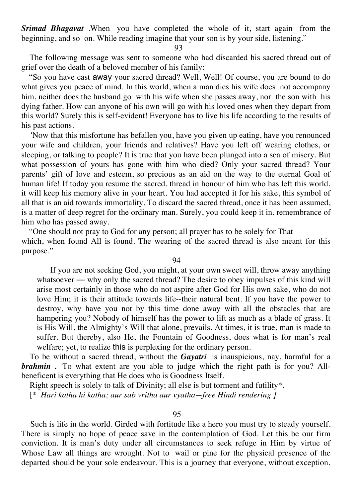*Srimad Bhagavat .*When you have completed the whole of it, start again from the beginning, and so on. While reading imagine that your son is by your side, listening."

93

The following message was sent to someone who had discarded his sacred thread out of grief over the death of a beloved member of his family:

"So you have cast away your sacred thread? Well, Well! Of course, you are bound to do what gives you peace of mind. In this world, when a man dies his wife does not accompany him, neither does the husband go with his wife when she passes away, nor the son with his dying father. How can anyone of his own will go with his loved ones when they depart from this world? Surely this is self-evident! Everyone has to live his life according to the results of his past actions.

 'Now that this misfortune has befallen you, have you given up eating, have you renounced your wife and children, your friends and relatives? Have you left off wearing clothes, or sleeping, or talking to people? It is true that you have been plunged into a sea of misery. But what possession of yours has gone with him who died? Only your sacred thread? Your parents' gift of love and esteem, so precious as an aid on the way to the eternal Goal of human life! If today you resume the sacred. thread in honour of him who has left this world, it will keep his memory alive in your heart. You had accepted it for his sake, this symbol of all that is an aid towards immortality. To discard the sacred thread, once it has been assumed, is a matter of deep regret for the ordinary man. Surely, you could keep it in. remembrance of him who has passed away.

"One should not pray to God for any person; all prayer has to be solely for That which, when found All is found. The wearing of the sacred thread is also meant for this purpose."

94

 If you are not seeking God, you might, at your own sweet will, throw away anything whatsoever — why only the sacred thread? The desire to obey impulses of this kind will arise most certainly in those who do not aspire after God for His own sake, who do not love Him; it is their attitude towards life--their natural bent. If you have the power to destroy, why have you not by this time done away with all the obstacles that are hampering you? Nobody of himself has the power to lift as much as a blade of grass. It is His Will, the Almighty's Will that alone, prevails. At times, it is true, man is made to suffer. But thereby, also He, the Fountain of Goodness, does what is for man's real welfare; yet, to realize this is perplexing for the ordinary person.

To be without a sacred thread, without the *Gayatri* is inauspicious, nay, harmful for a *brahmin .* To what extent are you able to judge which the right path is for you? Allbeneficent is everything that He does who is Goodness Itself.

Right speech is solely to talk of Divinity; all else is but torment and futility\*. [\* *Hari katha hi katha; aur sab vritha aur vyatha—free Hindi rendering ]*

95

Such is life in the world. Girded with fortitude like a hero you must try to steady yourself. There is simply no hope of peace save in the contemplation of God. Let this be our firm conviction. It is man's duty under all circumstances to seek refuge in Him by virtue of Whose Law all things are wrought. Not to wail or pine for the physical presence of the departed should be your sole endeavour. This is a journey that everyone, without exception,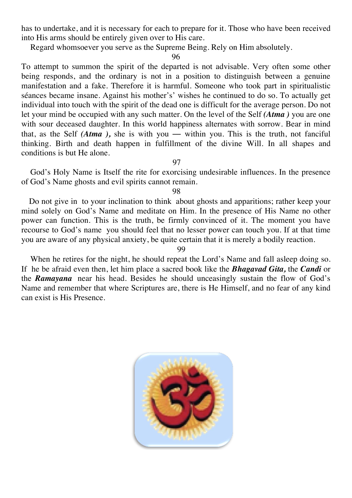has to undertake, and it is necessary for each to prepare for it. Those who have been received into His arms should be entirely given over to His care.

Regard whomsoever you serve as the Supreme Being. Rely on Him absolutely.

96

To attempt to summon the spirit of the departed is not advisable. Very often some other being responds, and the ordinary is not in a position to distinguish between a genuine manifestation and a fake. Therefore it is harmful. Someone who took part in spiritualistic séances became insane. Against his mother's' wishes he continued to do so. To actually get individual into touch with the spirit of the dead one is difficult for the average person. Do not let your mind be occupied with any such matter. On the level of the Self *(Atma )* you are one with sour deceased daughter. In this world happiness alternates with sorrow. Bear in mind that, as the Self *(Atma ),* she is with you — within you. This is the truth, not fanciful thinking. Birth and death happen in fulfillment of the divine Will. In all shapes and conditions is but He alone.

97

God's Holy Name is Itself the rite for exorcising undesirable influences. In the presence of God's Name ghosts and evil spirits cannot remain.

98

Do not give in to your inclination to think about ghosts and apparitions; rather keep your mind solely on God's Name and meditate on Him. In the presence of His Name no other power can function. This is the truth, be firmly convinced of it. The moment you have recourse to God's name you should feel that no lesser power can touch you. If at that time you are aware of any physical anxiety, be quite certain that it is merely a bodily reaction.

99

When he retires for the night, he should repeat the Lord's Name and fall asleep doing so. If he be afraid even then, let him place a sacred book like the *Bhagavad Gita,* the *Candi* or the *Ramayana* near his head. Besides he should unceasingly sustain the flow of God's Name and remember that where Scriptures are, there is He Himself, and no fear of any kind can exist is His Presence.

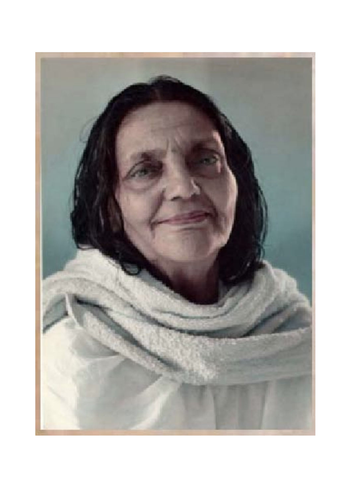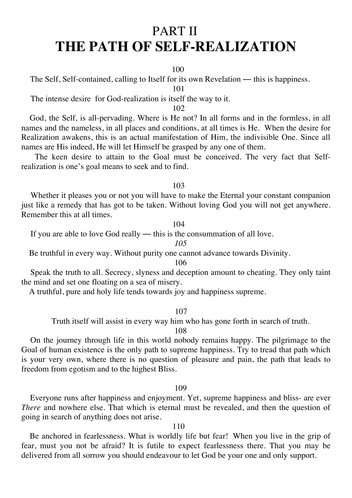# PART II **THE PATH OF SELF-REALIZATION**

#### 100

The Self, Self-contained, calling to Itself for its own Revelation — this is happiness.

101

The intense desire for God-realization is itself the way to it.

#### 102

God, the Self, is all-pervading. Where is He not? In all forms and in the formless, in all names and the nameless, in all places and conditions, at all times is He. When the desire for Realization awakens, this is an actual manifestation of Him, the indivisible One. Since all names are His indeed, He will let Himself be grasped by any one of them.

 The keen desire to attain to the Goal must be conceived. The very fact that Selfrealization is one's goal means to seek and to find.

103

Whether it pleases you or not you will have to make the Eternal your constant companion just like a remedy that has got to be taken. Without loving God you will not get anywhere. Remember this at all times.

#### 104

If you are able to love God really — this is the consummation of all love.

 *105*

Be truthful in every way. Without purity one cannot advance towards Divinity.

#### 106

Speak the truth to all. Secrecy, slyness and deception amount to cheating. They only taint the mind and set one floating on a sea of misery.

A truthful, pure and holy life tends towards joy and happiness supreme.

#### 107

Truth itself will assist in every way him who has gone forth in search of truth.

#### 108

On the journey through life in this world nobody remains happy. The pilgrimage to the Goal of human existence is the only path to supreme happiness. Try to tread that path which is your very own, where there is no question of pleasure and pain, the path that leads to freedom from egotism and to the highest Bliss.

#### 109

Everyone runs after happiness and enjoyment. Yet, supreme happiness and bliss- are ever *There* and nowhere else. That which is eternal must be revealed, and then the question of going in search of anything does not arise.

#### 110

Be anchored in fearlessness. What is worldly life but fear! When you live in the grip of fear, must you not be afraid? It is futile to expect fearlessness there. That you may be delivered from all sorrow you should endeavour to let God be your one and only support.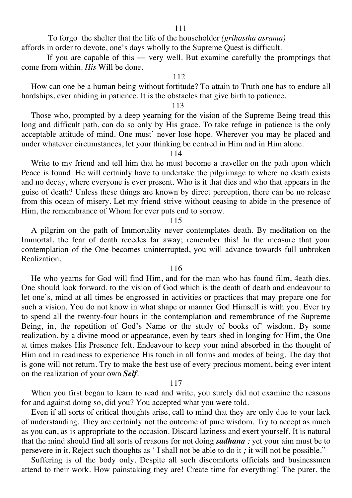To forgo the shelter that the life of the householder *(grihastha asrama)* affords in order to devote, one's days wholly to the Supreme Quest is difficult.

If you are capable of this — very well. But examine carefully the promptings that come from within. *His* Will be done.

#### 112

How can one be a human being without fortitude? To attain to Truth one has to endure all hardships, ever abiding in patience. It is the obstacles that give birth to patience.

#### 113

Those who, prompted by a deep yearning for the vision of the Supreme Being tread this long and difficult path, can do so only by His grace. To take refuge in patience is the only acceptable attitude of mind. One must' never lose hope. Wherever you may be placed and under whatever circumstances, let your thinking be centred in Him and in Him alone.

#### 114

Write to my friend and tell him that he must become a traveller on the path upon which Peace is found. He will certainly have to undertake the pilgrimage to where no death exists and no decay, where everyone is ever present. Who is it that dies and who that appears in the guise of death? Unless these things are known by direct perception, there can be no release from this ocean of misery. Let my friend strive without ceasing to abide in the presence of Him, the remembrance of Whom for ever puts end to sorrow.

#### 115

A pilgrim on the path of Immortality never contemplates death. By meditation on the Immortal, the fear of death recedes far away; remember this! In the measure that your contemplation of the One becomes uninterrupted, you will advance towards full unbroken Realization.

#### 116

He who yearns for God will find Him, and for the man who has found film, 4eath dies. One should look forward. to the vision of God which is the death of death and endeavour to let one's, mind at all times be engrossed in activities or practices that may prepare one for such a vision. You do not know in what shape or manner God Himself is with you. Ever try to spend all the twenty-four hours in the contemplation and remembrance of the Supreme Being, in, the repetition of God's Name or the study of books of' wisdom. By some realization, by a divine mood or appearance, even by tears shed in longing for Him, the One at times makes His Presence felt. Endeavour to keep your mind absorbed in the thought of Him and in readiness to experience His touch in all forms and modes of being. The day that is gone will not return. Try to make the best use of every precious moment, being ever intent on the realization of your own *Self.*

#### 117

When you first began to learn to read and write, you surely did not examine the reasons for and against doing so, did you? You accepted what you were told.

Even if all sorts of critical thoughts arise, call to mind that they are only due to your lack of understanding. They are certainly not the outcome of pure wisdom. Try to accept as much as you can, as is appropriate to the occasion. Discard laziness and exert yourself. It is natural that the mind should find all sorts of reasons for not doing *sadhana ;* yet your aim must be to persevere in it. Reject such thoughts as ' I shall not be able to do it *;* it will not be possible."

Suffering is of the body only. Despite all such discomforts officials and businessmen attend to their work. How painstaking they are! Create time for everything! The purer, the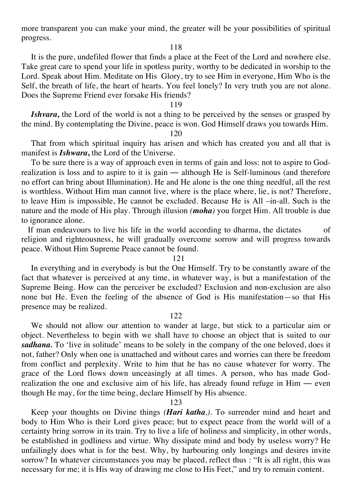more transparent you can make your mind, the greater will be your possibilities of spiritual progress.

#### 118

It is the pure, undefiled flower that finds a place at the Feet of the Lord and nowhere else. Take great care to spend your life in spotless purity, worthy to be dedicated in worship to the Lord. Speak about Him. Meditate on His Glory, try to see Him in everyone, Him Who is the Self, the breath of life, the heart of hearts. You feel lonely? In very truth you are not alone. Does the Supreme Friend ever forsake His friends?

#### 119

*Ishvara,* the Lord of the world is not a thing to be perceived by the senses or grasped by the mind. By contemplating the Divine, peace is won. God Himself draws you towards Him.

#### 120

That from which spiritual inquiry has arisen and which has created you and all that is manifest is *Ishwara***,** the Lord of the Universe.

To be sure there is a way of approach even in terms of gain and loss: not to aspire to Godrealization is loss and to aspire to it is gain — although He is Self-luminous (and therefore no effort can bring about Illumination). He and He alone is the one thing needful, all the rest is worthless. Without Him man cannot live, where is the place where, lie, is not? Therefore, to leave Him is impossible, He cannot be excluded. Because He is All –in-all. Such is the nature and the mode of His play. Through illusion *(moha)* you forget Him. All trouble is due to ignorance alone.

If man endeavours to live his life in the world according to dharma, the dictates of religion and righteousness, he will gradually overcome sorrow and will progress towards peace. Without Him Supreme Peace cannot be found.

#### 121

In everything and in everybody is but the One Himself. Try to be constantly aware of the fact that whatever is perceived at any time, in whatever way, is but a manifestation of the Supreme Being. How can the perceiver be excluded? Exclusion and non-exclusion are also none but He. Even the feeling of the absence of God is His manifestation—so that His presence may be realized.

#### 122

We should not allow our attention to wander at large, but stick to a particular aim or object. Nevertheless to begin with we shall have to choose an object that is suited to our sadhana. To 'live in solitude' means to be solely in the company of the one beloved, does it not, father? Only when one is unattached and without cares and worries can there be freedom from conflict and perplexity. Write to him that he has no cause whatever for worry. The grace of the Lord flows down unceasingly at all times. A person, who has made Godrealization the one and exclusive aim of his life, has already found refuge in Him — even though He may, for the time being, declare Himself by His absence.

123

Keep your thoughts on Divine things *(Hari katha,).* To surrender mind and heart and body to Him Who is their Lord gives peace; but to expect peace from the world will of a certainty bring sorrow in its train. Try to live a life of holiness and simplicity, in other words, be established in godliness and virtue. Why dissipate mind and body by useless worry? He unfailingly does what is for the best. Why, by harbouring only longings and desires invite sorrow? In whatever circumstances you may be placed, reflect thus : "It is all right, this was necessary for me; it is His way of drawing me close to His Feet," and try to remain content.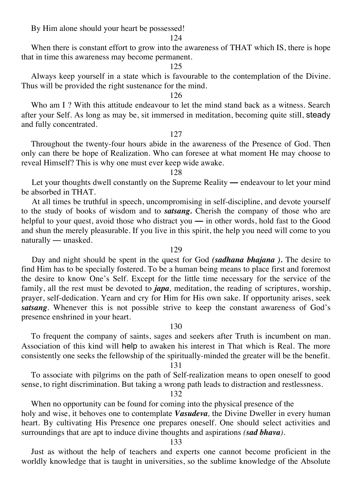By Him alone should your heart be possessed!

#### 124

When there is constant effort to grow into the awareness of THAT which IS, there is hope that in time this awareness may become permanent.

#### 125

Always keep yourself in a state which is favourable to the contemplation of the Divine. Thus will be provided the right sustenance for the mind.

#### 126

Who am I? With this attitude endeavour to let the mind stand back as a witness. Search after your Self. As long as may be, sit immersed in meditation, becoming quite still, steady and fully concentrated.

#### 127

Throughout the twenty-four hours abide in the awareness of the Presence of God. Then only can there be hope of Realization. Who can foresee at what moment He may choose to reveal Himself? This is why one must ever keep wide awake.

#### 128

Let your thoughts dwell constantly on the Supreme Reality **—** endeavour to let your mind be absorbed in THAT.

At all times be truthful in speech, uncompromising in self-discipline, and devote yourself to the study of books of wisdom and to *satsang.* Cherish the company of those who are helpful to your quest, avoid those who distract you **—** in other words, hold fast to the Good and shun the merely pleasurable. If you live in this spirit, the help you need will come to you naturally — unasked.

#### 129

Day and night should be spent in the quest for God *(sadhana bhajana ).* The desire to find Him has to be specially fostered. To be a human being means to place first and foremost the desire to know One's Self. Except for the little time necessary for the service of the family, all the rest must be devoted to *japa*, meditation, the reading of scriptures, worship, prayer, self-dedication. Yearn and cry for Him for His own sake. If opportunity arises, seek *satsang.* Whenever this is not possible strive to keep the constant awareness of God's presence enshrined in your heart.

#### 130

To frequent the company of saints, sages and seekers after Truth is incumbent on man. Association of this kind will help to awaken his interest in That which is Real. The more consistently one seeks the fellowship of the spiritually-minded the greater will be the benefit.

#### 131

To associate with pilgrims on the path of Self-realization means to open oneself to good sense, to right discrimination. But taking a wrong path leads to distraction and restlessness.

#### 132

When no opportunity can be found for coming into the physical presence of the holy and wise, it behoves one to contemplate *Vasudeva,* the Divine Dweller in every human heart. By cultivating His Presence one prepares oneself. One should select activities and surroundings that are apt to induce divine thoughts and aspirations *(sad bhava).*

#### 133

Just as without the help of teachers and experts one cannot become proficient in the worldly knowledge that is taught in universities, so the sublime knowledge of the Absolute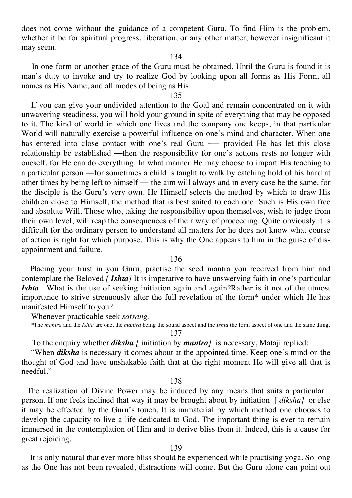does not come without the guidance of a competent Guru. To find Him is the problem, whether it be for spiritual progress, liberation, or any other matter, however insignificant it may seem.

134

In one form or another grace of the Guru must be obtained. Until the Guru is found it is man's duty to invoke and try to realize God by looking upon all forms as His Form, all names as His Name, and all modes of being as His.

#### 135

If you can give your undivided attention to the Goal and remain concentrated on it with unwavering steadiness, you will hold your ground in spite of everything that may be opposed to it. The kind of world in which one lives and the company one keeps, in that particular World will naturally exercise a powerful influence on one's mind and character. When one has entered into close contact with one's real Guru -— provided He has let this close relationship be established —then the responsibility for one's actions rests no longer with oneself, for He can do everything. In what manner He may choose to impart His teaching to a particular person —for sometimes a child is taught to walk by catching hold of his hand at other times by being left to himself — the aim will always and in every case be the same, for the disciple is the Guru's very own. He Himself selects the method by which to draw His children close to Himself, the method that is best suited to each one. Such is His own free and absolute Will. Those who, taking the responsibility upon themselves, wish to judge from their own level, will reap the consequences of their way of proceeding. Quite obviously it is difficult for the ordinary person to understand all matters for he does not know what course of action is right for which purpose. This is why the One appears to him in the guise of disappointment and failure.

136

Placing your trust in you Guru, practise the seed mantra you received from him and contemplate the Beloved *[ Ishta]* It is imperative to have unswerving faith in one's particular *Ishta .* What is the use of seeking initiation again and again?Rather is it not of the utmost importance to strive strenuously after the full revelation of the form\* under which He has manifested Himself to you?

Whenever practicable seek *satsang.*

\*The *mantra* and the *Ishta* are one, the *mantra* being the sound aspect and the *Ishta* the form aspect of one and the same thing*.*  137

To the enquiry whether *diksha [* initiation by *mantra]* is necessary, Mataji replied:

"When *diksha* is necessary it comes about at the appointed time. Keep one's mind on the thought of God and have unshakable faith that at the right moment He will give all that is needful."

138

The realization of Divine Power may be induced by any means that suits a particular person. If one feels inclined that way it may be brought about by initiation [ *diksha]* or else it may be effected by the Guru's touch. It is immaterial by which method one chooses to develop the capacity to live a life dedicated to God. The important thing is ever to remain immersed in the contemplation of Him and to derive bliss from it. Indeed, this is a cause for great rejoicing.

139

It is only natural that ever more bliss should be experienced while practising yoga. So long as the One has not been revealed, distractions will come. But the Guru alone can point out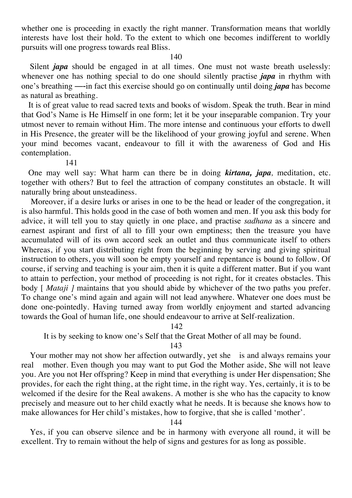whether one is proceeding in exactly the right manner. Transformation means that worldly interests have lost their hold. To the extent to which one becomes indifferent to worldly pursuits will one progress towards real Bliss.

#### 140

Silent *japa* should be engaged in at all times. One must not waste breath uselessly: whenever one has nothing special to do one should silently practise *japa* in rhythm with one's breathing —-in fact this exercise should go on continually until doing *japa* has become as natural as breathing.

It is of great value to read sacred texts and books of wisdom. Speak the truth. Bear in mind that God's Name is He Himself in one form; let it be your inseparable companion. Try your utmost never to remain without Him. The more intense and continuous your efforts to dwell in His Presence, the greater will be the likelihood of your growing joyful and serene. When your mind becomes vacant, endeavour to fill it with the awareness of God and His contemplation.

141

One may well say: What harm can there be in doing *kirtana, japa,* meditation, etc. together with others? But to feel the attraction of company constitutes an obstacle. It will naturally bring about unsteadiness.

 Moreover, if a desire lurks or arises in one to be the head or leader of the congregation, it is also harmful. This holds good in the case of both women and men. If you ask this body for advice, it will tell you to stay quietly in one place, and practise *sadhana* as a sincere and earnest aspirant and first of all to fill your own emptiness; then the treasure you have accumulated will of its own accord seek an outlet and thus communicate itself to others Whereas, if you start distributing right from the beginning by serving and giving spiritual instruction to others, you will soon be empty yourself and repentance is bound to follow. Of course, if serving and teaching is your aim, then it is quite a different matter. But if you want to attain to perfection, your method of proceeding is not right, for it creates obstacles. This body [ *Mataji ]* maintains that you should abide by whichever of the two paths you prefer. To change one's mind again and again will not lead anywhere. Whatever one does must be done one-pointedly. Having turned away from worldly enjoyment and started advancing towards the Goal of human life, one should endeavour to arrive at Self-realization.

142

It is by seeking to know one's Self that the Great Mother of all may be found.

143

Your mother may not show her affection outwardly, yet she is and always remains your real mother. Even though you may want to put God the Mother aside, She will not leave you. Are you not Her offspring? Keep in mind that everything is under Her dispensation; She provides, for each the right thing, at the right time, in the right way. Yes, certainly, it is to be welcomed if the desire for the Real awakens. A mother is she who has the capacity to know precisely and measure out to her child exactly what he needs. It is because she knows how to make allowances for Her child's mistakes, how to forgive, that she is called 'mother'.

144

Yes, if you can observe silence and be in harmony with everyone all round, it will be excellent. Try to remain without the help of signs and gestures for as long as possible.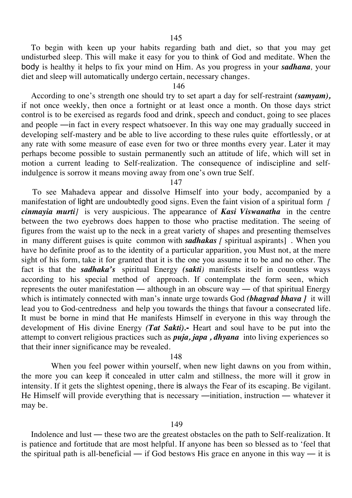To begin with keen up your habits regarding bath and diet, so that you may get undisturbed sleep. This will make it easy for you to think of God and meditate. When the body is healthy it helps to fix your mind on Him. As you progress in your *sadhana,* your

#### 146

diet and sleep will automatically undergo certain, necessary changes.

According to one's strength one should try to set apart a day for self-restraint *(samyam),* if not once weekly, then once a fortnight or at least once a month. On those days strict control is to be exercised as regards food and drink, speech and conduct, going to see places and people —in fact in every respect whatsoever. In this way one may gradually succeed in developing self-mastery and be able to live according to these rules quite effortlessly, or at any rate with some measure of ease even for two or three months every year. Later it may perhaps become possible to sustain permanently such an attitude of life, which will set in motion a current leading to Self-realization. The consequence of indiscipline and selfindulgence is sorrow it means moving away from one's own true Self.

#### 147

To see Mahadeva appear and dissolve Himself into your body, accompanied by a manifestation of light are undoubtedly good signs. Even the faint vision of a spiritual form *[ cinmayia murti]* is very auspicious. The appearance of *Kasi Viswanatha* in the centre between the two eyebrows does happen to those who practise meditation. The seeing of figures from the waist up to the neck in a great variety of shapes and presenting themselves in many different guises is quite common with *sadhakas [* spiritual aspirants] *.* When you have ho definite proof as to the identity of a particular apparition, you Must not, at the mere sight of his form, take it for granted that it is the one you assume it to be and no other. The fact is that the *sadhaka's* spiritual Energy *(sakti)* manifests itself in countless ways according to his special method of approach. If contemplate the form seen, which represents the outer manifestation — although in an obscure way — of that spiritual Energy which is intimately connected with man's innate urge towards God *(bhagvad bhava ]* it will lead you to God-centredness and help you towards the things that favour a consecrated life. It must be borne in mind that He manifests Himself in everyone in this way through the development of His divine Energy *(Tat Sakti).***-** Heart and soul have to be put into the attempt to convert religious practices such as *puja, japa , dhyana* into living experiences so that their inner significance may be revealed.

#### 148

When you feel power within yourself, when new light dawns on you from within, the more you can keep it concealed in utter calm and stillness, the more will it grow in intensity. If it gets the slightest opening, there is always the Fear of its escaping. Be vigilant. He Himself will provide everything that is necessary —initiation, instruction — whatever it may be.

#### 149

Indolence and lust — these two are the greatest obstacles on the path to Self-realization. It is patience and fortitude that are most helpful. If anyone has been so blessed as to 'feel that the spiritual path is all-beneficial — if God bestows His grace en anyone in this way — it is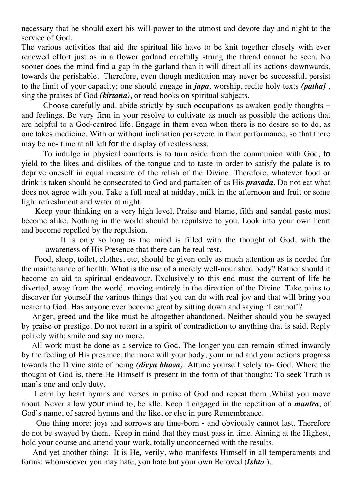necessary that he should exert his will-power to the utmost and devote day and night to the service of God.

The various activities that aid the spiritual life have to be knit together closely with ever renewed effort just as in a flower garland carefully strung the thread cannot be seen. No sooner does the mind find a gap in the garland than it will direct all its actions downwards, towards the perishable. Therefore, even though meditation may never be successful, persist to the limit of your capacity; one should engage in *japa,* worship, recite holy texts *(patha] ,*  sing the praises of God *(kirtana),* or read books on spiritual subjects.

Choose carefully and. abide strictly by such occupations as awaken godly thoughts – and feelings. Be very firm in your resolve to cultivate as much as possible the actions that are helpful to a God-centred life. Engage in them even when there is no desire so to do, as one takes medicine. With or without inclination persevere in their performance, so that there may be no- time at all left for the display of restlessness.

 To indulge in physical comforts is to turn aside from the communion with God; to yield to the likes and dislikes of the tongue and to taste in order to satisfy the palate is to deprive oneself in equal measure of the relish of the Divine. Therefore, whatever food or drink is taken should be consecrated to God and partaken of as His *prasada.* Do not eat what does not agree with you. Take a full meal at midday, milk in the afternoon and fruit or some light refreshment and water at night.

 Keep your thinking on a very high level. Praise and blame, filth and sandal paste must become alike. Nothing in the world should be repulsive to you. Look into your own heart and become repelled by the repulsion.

 It is only so long as the mind is filled with the thought of God, with **the** awareness of His Presence that there can be real rest.

 Food, sleep, toilet, clothes, etc, should be given only as much attention as is needed for the maintenance of health. What is the use of a merely well-nourished body? Rather should it become an aid to spiritual endeavour. Exclusively to this end must the current of life be diverted, away from the world, moving entirely in the direction of the Divine. Take pains to discover for yourself the various things that you can do with real joy and that will bring you nearer to God. Has anyone ever become great by sitting down and saying 'I cannot'?

Anger, greed and the like must be altogether abandoned. Neither should you be swayed by praise or prestige. Do not retort in a spirit of contradiction to anything that is said. Reply politely with; smile and say no more.

All work must be done as a service to God. The longer you can remain stirred inwardly by the feeling of His presence, the more will your body, your mind and your actions progress towards the Divine state of being *(divya bhava).* Attune yourself solely to- God. Where the thought of God is, there He Himself is present in the form of that thought: To seek Truth is man's one and only duty.

 Learn by heart hymns and verses in praise of God and repeat them .Whilst you move about. Never allow your mind to, be idle. Keep it engaged in the repetition of a *mantra*, of God's name, of sacred hymns and the like, or else in pure Remembrance.

 One thing more: joys and sorrows are time-born - and obviously cannot last. Therefore do not be swayed by them. Keep in mind that they must pass in time. Aiming at the Highest, hold your course and attend your work, totally unconcerned with the results.

And yet another thing: It is He**,** verily, who manifests Himself in all temperaments and forms: whomsoever you may hate, you hate but your own Beloved (*Ishta* ).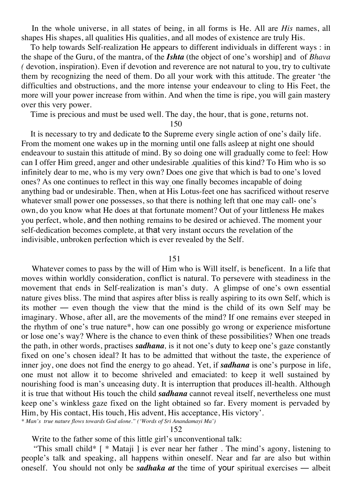In the whole universe, in all states of being, in all forms is He. All are *His* names, all shapes His shapes, all qualities His qualities, and all modes of existence are truly His.

To help towards Self-realization He appears to different individuals in different ways : in the shape of the Guru, of the mantra, of the *Ishta* (the object of one's worship] and of *Bhava (* devotion, inspiration). Even if devotion and reverence are not natural to you, try to cultivate them by recognizing the need of them. Do all your work with this attitude. The greater 'the difficulties and obstructions, and the more intense your endeavour to cling to His Feet, the more will your power increase from within. And when the time is ripe, you will gain mastery over this very power.

Time is precious and must be used well. The day, the hour, that is gone, returns not.

#### 150

It is necessary to try and dedicate to the Supreme every single action of one's daily life. From the moment one wakes up in the morning until one falls asleep at night one should endeavour to sustain this attitude of mind. By so doing one will gradually come to feel: How can I offer Him greed, anger and other undesirable .qualities of this kind? To Him who is so infinitely dear to me, who is my very own? Does one give that which is bad to one's loved ones? As one continues to reflect in this way, one finally becomes incapable of doing anything bad or undesirable. Then, when at His Lotus-feet one has sacrificed without reserve whatever small power one possesses, so that there is nothing left that one may call- one's own, do you know what He does at that fortunate moment? Out of your littleness He makes you perfect, whole, and then nothing remains to be desired or achieved. The moment your self-dedication becomes complete, at that very instant occurs the revelation of the indivisible, unbroken perfection which is ever revealed by the Self.

#### 151

Whatever comes to pass by the will of Him who is Will itself, is beneficent. In a life that moves within worldly consideration, conflict is natural. To persevere with steadiness in the movement that ends in Self-realization is man's duty. A glimpse of one's own essential nature gives bliss. The mind that aspires after bliss is really aspiring to its own Self, which is its mother — even though the view that the mind is the child of its own Self may be imaginary. Whose, after all, are the movements of the mind? If one remains ever steeped in the rhythm of one's true nature\*, how can one possibly go wrong or experience misfortune or lose one's way? Where is the chance to even think of these possibilities? When one treads the path, in other words, practises *sadhana,* is it not one's duty to keep one's gaze constantly fixed on one's chosen ideal? It has to be admitted that without the taste, the experience of inner joy, one does not find the energy to go ahead. Yet, if *sadhana* is one's purpose in life, one must not allow it to become shriveled and emaciated: to keep it well sustained by nourishing food is man's unceasing duty. It is interruption that produces ill-health. Although it is true that without His touch the child *sadhana* cannot reveal itself, nevertheless one must keep one's winkless gaze fixed on the light obtained so far. Every moment is pervaded by Him, by His contact, His touch, His advent, His acceptance, His victory'.

*\* Man's true nature flows towards God alone." ('Words of Sri Anandamayi Ma')*

152

Write to the father some of this little girl's unconventional talk:

"This small child\* [ \* Mataji ] is ever near her father . The mind's agony, listening to people's talk and speaking, all happens within oneself. Near and far are also but within oneself. You should not only be *sadhaka at* the time of your spiritual exercises — albeit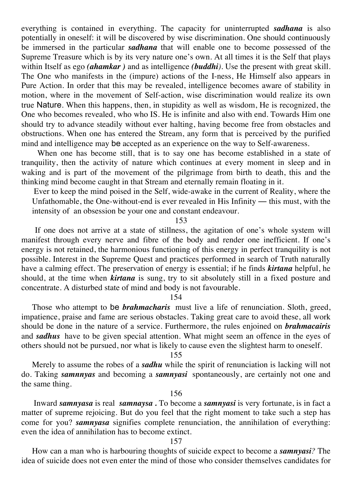everything is contained in everything. The capacity for uninterrupted *sadhana* is also potentially in oneself: it will be discovered by wise discrimination. One should continuously be immersed in the particular *sadhana* that will enable one to become possessed of the Supreme Treasure which is by its very nature one's own. At all times it is the Self that plays within Itself as ego *(ahamkar )* and as intelligence *(buddhi).* Use the present with great skill. The One who manifests in the (impure) actions of the I-ness, He Himself also appears in Pure Action. In order that this may be revealed, intelligence becomes aware of stability in motion, where in the movement of Self-action, wise discrimination would realize its own true Nature. When this happens, then, in stupidity as well as wisdom, He is recognized, the One who becomes revealed, who who IS. He is infinite and also with end. Towards Him one should try to advance steadily without ever halting, having become free from obstacles and obstructions. When one has entered the Stream, any form that is perceived by the purified mind and intelligence may be accepted as an experience on the way to Self-awareness.

 When one has become still, that is to say one has become established in a state of tranquility, then the activity of nature which continues at every moment in sleep and in waking and is part of the movement of the pilgrimage from birth to death, this and the thinking mind become caught in that Stream and eternally remain floating in it.

 Ever to keep the mind poised in the Self, wide-awake in the current of Reality, where the Unfathomable, the One-without-end is ever revealed in His Infinity — this must, with the intensity of an obsession be your one and constant endeavour.

#### 153

 If one does not arrive at a state of stillness, the agitation of one's whole system will manifest through every nerve and fibre of the body and render one inefficient. If one's energy is not retained, the harmonious functioning of this energy in perfect tranquility is not possible. Interest in the Supreme Quest and practices performed in search of Truth naturally have a calming effect. The preservation of energy is essential; if he finds *kirtana* helpful, he should, at the time when *kirtana* is sung, try to sit absolutely still in a fixed posture and concentrate. A disturbed state of mind and body is not favourable.

#### 154

Those who attempt to be *brahmacharis* must live a life of renunciation. Sloth, greed, impatience, praise and fame are serious obstacles. Taking great care to avoid these, all work should be done in the nature of a service. Furthermore, the rules enjoined on *brahmacairis*  and *sadhus* have to be given special attention. What might seem an offence in the eyes of others should not be pursued, nor what is likely to cause even the slightest harm to oneself.

#### 155

Merely to assume the robes of a *sadhu* while the spirit of renunciation is lacking will not do. Taking *samnnyas* and becoming a *samnyasi* spontaneously, are certainly not one and the same thing.

#### 156

 Inward *samnyasa* is real *samnaysa .* To become a *samnyasi* is very fortunate, is in fact a matter of supreme rejoicing. But do you feel that the right moment to take such a step has come for you? *samnyasa* signifies complete renunciation, the annihilation of everything: even the idea of annihilation has to become extinct.

#### 157

How can a man who is harbouring thoughts of suicide expect to become a *samnyasi?* The idea of suicide does not even enter the mind of those who consider themselves candidates for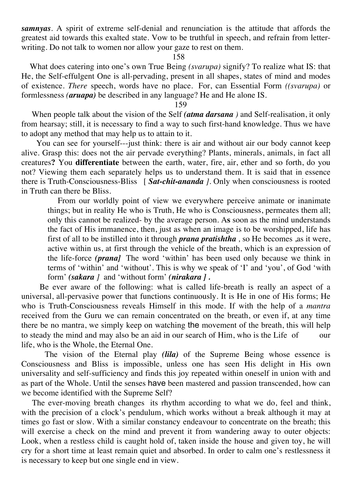*samnyas.* A spirit of extreme self-denial and renunciation is the attitude that affords the greatest aid towards this exalted state. Vow to be truthful in speech, and refrain from letterwriting. Do not talk to women nor allow your gaze to rest on them.

158

 What does catering into one's own True Being *(svarupa)* signify? To realize what IS: that He, the Self-effulgent One is all-pervading, present in all shapes, states of mind and modes of existence. *There* speech, words have no place. For, can Essential Form *((svarupa)* or formlessness *(aruapa)* be described in any language? He and He alone IS.

#### 159

When people talk about the vision of the Self *(atma darsana )* and Self-realisation, it only from hearsay; still, it is necessary to find a way to such first-hand knowledge. Thus we have to adopt any method that may help us to attain to it.

You can see for yourself---just think: there is air and without air our body cannot keep alive. Grasp this: does not the air pervade everything? Plants, minerals, animals, in fact all creatures**?** You **differentiate** between the earth, water, fire, air, ether and so forth, do you not? Viewing them each separately helps us to understand them. It is said that in essence there is Truth-Consciousness-Bliss [ *Sat-chit-ananda ].* Only when consciousness is rooted in Truth can there be Bliss.

 From our worldly point of view we everywhere perceive animate or inanimate things; but in reality He who is Truth, He who is Consciousness, permeates them all; only this cannot be realized- by the average person. A**s** soon as the mind understands the fact of His immanence, then, just as when an image is to be worshipped, life has first of all to be instilled into it through *prana pratishtha ,* so He becomes ,as it were, active within us, at first through the vehicle of the breath, which is an expression of the life-force *(prana]* The word 'within' has been used only because we think in terms of 'within' and 'without'. This is why we speak of 'I' and 'you', of God 'with form' *(sakara ]* and 'without form' *(nirakara ] .*

 Be ever aware of the following: what is called life-breath is really an aspect of a universal, all-pervasive power that functions continuously. It is He in one of His forms; He who is Truth-Consciousness reveals Himself in this mode. If with the help of a *mantra*  received from the Guru we can remain concentrated on the breath, or even if, at any time there be no mantra, we simply keep on watching the movement of the breath, this will help to steady the mind and may also be an aid in our search of Him, who is the Life of our life, who is the Whole, the Eternal One.

 The vision of the Eternal play *(lila)* of the Supreme Being whose essence is Consciousness and Bliss is impossible, unless one has seen His delight in His own universality and self-sufficiency and finds this joy repeated within oneself in union with and as part of the Whole. Until the senses have been mastered and passion transcended, how can we become identified with the Supreme Self?

The ever-moving breath changes its rhythm according to what we do, feel and think, with the precision of a clock's pendulum, which works without a break although it may at times go fast or slow. With a similar constancy endeavour to concentrate on the breath; this will exercise a check on the mind and prevent it from wandering away to outer objects: Look, when a restless child is caught hold of, taken inside the house and given toy, he will cry for a short time at least remain quiet and absorbed. In order to calm one's restlessness it is necessary to keep but one single end in view.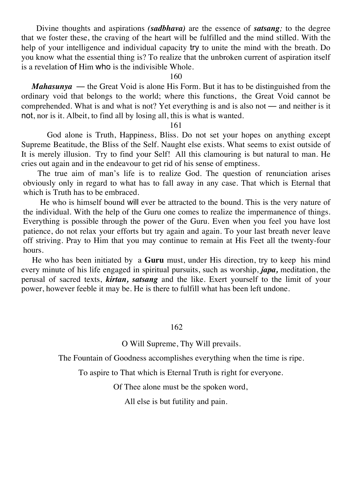Divine thoughts and aspirations *(sadbhava)* are the essence of *satsang;* to the degree that we foster these, the craving of the heart will be fulfilled and the mind stilled. With the help of your intelligence and individual capacity try to unite the mind with the breath. Do you know what the essential thing is? To realize that the unbroken current of aspiration itself is a revelation of Him who is the indivisible Whole.

#### 160

*Mahasunya* — the Great Void is alone His Form. But it has to be distinguished from the ordinary void that belongs to the world; where this functions, the Great Void cannot be comprehended. What is and what is not? Yet everything is and is also not — and neither is it not, nor is it. Albeit, to find all by losing all, this is what is wanted.

#### 161

 God alone is Truth, Happiness, Bliss. Do not set your hopes on anything except Supreme Beatitude, the Bliss of the Self. Naught else exists. What seems to exist outside of It is merely illusion. Try to find your Self! All this clamouring is but natural to man. He cries out again and in the endeavour to get rid of his sense of emptiness.

 The true aim of man's life is to realize God. The question of renunciation arises obviously only in regard to what has to fall away in any case. That which is Eternal that which is Truth has to be embraced.

 He who is himself bound will ever be attracted to the bound. This is the very nature of the individual. With the help of the Guru one comes to realize the impermanence of things. Everything is possible through the power of the Guru. Even when you feel you have lost patience, do not relax your efforts but try again and again. To your last breath never leave off striving. Pray to Him that you may continue to remain at His Feet all the twenty-four hours.

He who has been initiated by a **Guru** must, under His direction, try to keep his mind every minute of his life engaged in spiritual pursuits, such as worship, *japa,* meditation, the perusal of sacred texts, *kirtan, satsang* and the like. Exert yourself to the limit of your power, however feeble it may be. He is there to fulfill what has been left undone.

#### 162

O Will Supreme, Thy Will prevails.

The Fountain of Goodness accomplishes everything when the time is ripe.

To aspire to That which is Eternal Truth is right for everyone.

Of Thee alone must be the spoken word,

All else is but futility and pain.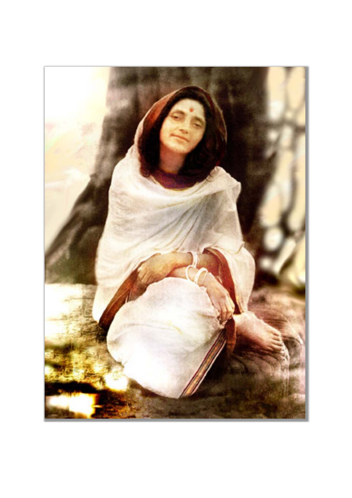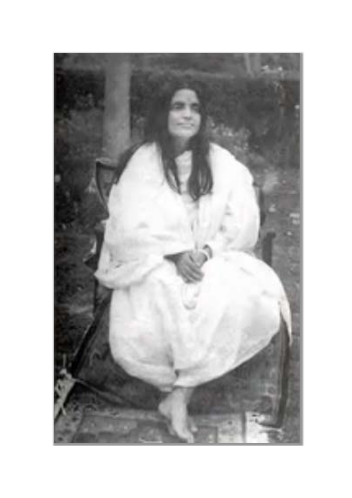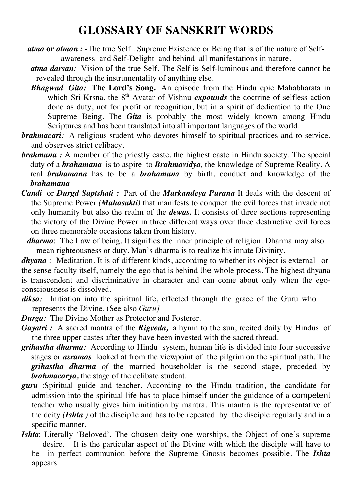# **GLOSSARY OF SANSKRIT WORDS**

- *atma* **or** *atman :* **-**The true Self . Supreme Existence or Being that is of the nature of Selfawareness and Self-Delight and behind all manifestations in nature.
- *atma darsan:* Vision of the true Self. The Self is Self-luminous and therefore cannot be revealed through the instrumentality of anything else.
- *Bhagwad Gita:* The Lord's Song. An episode from the Hindu epic Mahabharata in which Sri Krsna, the 8<sup>th</sup> Avatar of Vishnu *expounds* the doctrine of selfless action done as duty, not for profit or recognition, but in a spirit of dedication to the One Supreme Being. The *Gita* is probably the most widely known among Hindu Scriptures and has been translated into all important languages of the world.
- *brahmacari*: A religious student who devotes himself to spiritual practices and to service, and observes strict celibacy.
- *brahmana :* A member of the priestly caste, the highest caste in Hindu society. The special duty of a *brahamana* is to aspire to *Brahmavidya,* the knowledge of Supreme Reality. A real *brahamana* has to be a *brahamana* by birth, conduct and knowledge of the *brahamana*
- *Candi* or *Durgd Saptshati :* Part of the *Markandeya Purana* It deals with the descent of the Supreme Power *(Mahasakti)* that manifests to conquer the evil forces that invade not only humanity but also the realm of the *dewas.* It consists of three sections representing the victory of the Divine Power in three different ways over three destructive evil forces on three memorable occasions taken from history.
- *dharma*: The Law of being. It signifies the inner principle of religion. Dharma may also mean righteousness or duty. Man's dharma is to realize his innate Divinity.
- *dhyana :* Meditation. It is of different kinds, according to whether its object is external or the sense faculty itself, namely the ego that is behind the whole process. The highest dhyana is transcendent and discriminative in character and can come about only when the egoconsciousness is dissolved.
- diksa: Initiation into the spiritual life, effected through the grace of the Guru who represents the Divine. (See also *Guru]*
- *Durga:* The Divine Mother as Protector and Fosterer.
- *Gayatri :* A sacred mantra of the *Rigveda,* a hymn to the sun, recited daily by Hindus of the three upper castes after they have been invested with the sacred thread.
- *grihastha dharma:* According to Hindu system, human life is divided into four successive stages or *asramas* looked at from the viewpoint of the pilgrim on the spiritual path. The *grihastha dharma of* the married householder is the second stage, preceded by *brahmacarya,* the stage of the celibate student.
- *guru* :Spiritual guide and teacher. According to the Hindu tradition, the candidate for admission into the spiritual life has to place himself under the guidance of a competent teacher who usually gives him initiation by mantra. This mantra is the representative of the deity *(Ishta )* of the discip1e and has to be repeated by the disciple regularly and in a specific manner.
- *Ishta:* Literally 'Beloved'. The chosen deity one worships, the Object of one's supreme desire. It is the particular aspect of the Divine with which the disciple will have to be in perfect communion before the Supreme Gnosis becomes possible. The *Ishta* appears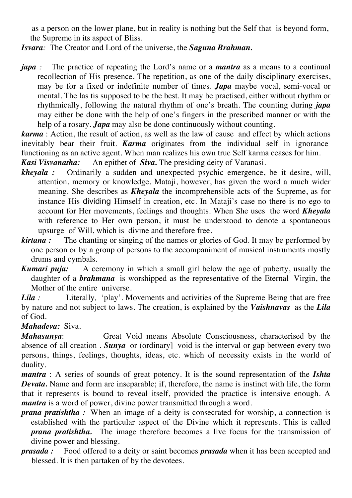as a person on the lower plane, but in reality is nothing but the Self that is beyond form, the Supreme in its aspect of Bliss.

- *Isvara:* The Creator and Lord of the universe, the *Saguna Brahman.*
- *japa :* The practice of repeating the Lord's name or a *mantra* as a means to a continual recollection of His presence. The repetition, as one of the daily disciplinary exercises, may be for a fixed or indefinite number of times. *Japa* maybe vocal, semi-vocal or mental. The las tis supposed to be the best. It may be practised, either without rhythm or rhythmically, following the natural rhythm of one's breath. The counting during *japa* may either be done with the help of one's fingers in the prescribed manner or with the help of a rosary. *Japa* may also be done continuously without counting.

*karma* : Action, the result of action, as well as the law of cause and effect by which actions inevitably bear their fruit. *Karma* originates from the individual self in ignorance functioning as an active agent. When man realizes his own true Self karma ceases for him. *Kasi Visvanatha:* An epithet of *Siva.* The presiding deity of Varanasi.

- *kheyala :* Ordinarily a sudden and unexpected psychic emergence, be it desire, will, attention, memory or knowledge. Mataji, however, has given the word a much wider meaning. She describes as *Kheyala* the incomprehensible acts of the Supreme, as for instance His dividing Himself in creation, etc. In Mataji's case no there is no ego to account for Her movements, feelings and thoughts. When She uses the word *Kheyala* with reference to Her own person, it must be understood to denote a spontaneous upsurge of Will, which is divine and therefore free.
- *kirtana :* The chanting or singing of the names or glories of God. It may be performed by one person or by a group of persons to the accompaniment of musical instruments mostly drums and cymbals.
- *Kumari puja:* A ceremony in which a small girl below the age of puberty, usually the daughter of a *brahmana* is worshipped as the representative of the Eternal Virgin, the Mother of the entire universe.

*Lila* : Literally, 'play'. Movements and activities of the Supreme Being that are free by nature and not subject to laws. The creation, is explained by the *Vaishnavas* as the *Lila* of God.

*Mahadeva:* Siva.

*Mahasunya*: Great Void means Absolute Consciousness, characterised by the absence of all creation *. Sunya* or (ordinary] void is the interval or gap between every two persons, things, feelings, thoughts, ideas, etc. which of necessity exists in the world of duality.

*mantra* : A series of sounds of great potency. It is the sound representation of the *Ishta Devata.* Name and form are inseparable; if, therefore, the name is instinct with life, the form that it represents is bound to reveal itself, provided the practice is intensive enough. A *mantra* is a word of power, divine power transmitted through a word.

- *prana pratishtha*: When an image of a deity is consecrated for worship, a connection is established with the particular aspect of the Divine which it represents. This is called *prana pratishtha.* The image therefore becomes a live focus for the transmission of divine power and blessing.
- *prasada :* Food offered to a deity or saint becomes *prasada* when it has been accepted and blessed. It is then partaken of by the devotees.